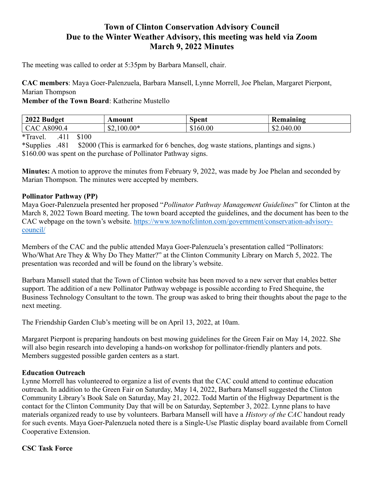# Town of Clinton Conservation Advisory Council Due to the Winter Weather Advisory, this meeting was held via Zoom March 9, 2022 Minutes

The meeting was called to order at 5:35pm by Barbara Mansell, chair.

CAC members: Maya Goer-Palenzuela, Barbara Mansell, Lynne Morrell, Joe Phelan, Margaret Pierpont, Marian Thompson

Member of the Town Board: Katherine Mustello

| 2022<br><b>Budget</b> | Amount       | Spent  | Remaining  |
|-----------------------|--------------|--------|------------|
| 8090.<br>$\sim$       | $$2,100.00*$ | 160.00 | \$2.040.00 |

\*Travel. .411 \$100

\*Supplies .481 \$2000 (This is earmarked for 6 benches, dog waste stations, plantings and signs.) \$160.00 was spent on the purchase of Pollinator Pathway signs.

Minutes: A motion to approve the minutes from February 9, 2022, was made by Joe Phelan and seconded by Marian Thompson. The minutes were accepted by members.

#### Pollinator Pathway (PP)

Maya Goer-Palenzuela presented her proposed "Pollinator Pathway Management Guidelines" for Clinton at the March 8, 2022 Town Board meeting. The town board accepted the guidelines, and the document has been to the CAC webpage on the town's website. https://www.townofclinton.com/government/conservation-advisorycouncil/

Members of the CAC and the public attended Maya Goer-Palenzuela's presentation called "Pollinators: Who/What Are They & Why Do They Matter?" at the Clinton Community Library on March 5, 2022. The presentation was recorded and will be found on the library's website.

Barbara Mansell stated that the Town of Clinton website has been moved to a new server that enables better support. The addition of a new Pollinator Pathway webpage is possible according to Fred Shequine, the Business Technology Consultant to the town. The group was asked to bring their thoughts about the page to the next meeting.

The Friendship Garden Club's meeting will be on April 13, 2022, at 10am.

Margaret Pierpont is preparing handouts on best mowing guidelines for the Green Fair on May 14, 2022. She will also begin research into developing a hands-on workshop for pollinator-friendly planters and pots. Members suggested possible garden centers as a start.

#### Education Outreach

Lynne Morrell has volunteered to organize a list of events that the CAC could attend to continue education outreach. In addition to the Green Fair on Saturday, May 14, 2022, Barbara Mansell suggested the Clinton Community Library's Book Sale on Saturday, May 21, 2022. Todd Martin of the Highway Department is the contact for the Clinton Community Day that will be on Saturday, September 3, 2022. Lynne plans to have materials organized ready to use by volunteers. Barbara Mansell will have a History of the CAC handout ready for such events. Maya Goer-Palenzuela noted there is a Single-Use Plastic display board available from Cornell Cooperative Extension.

#### CSC Task Force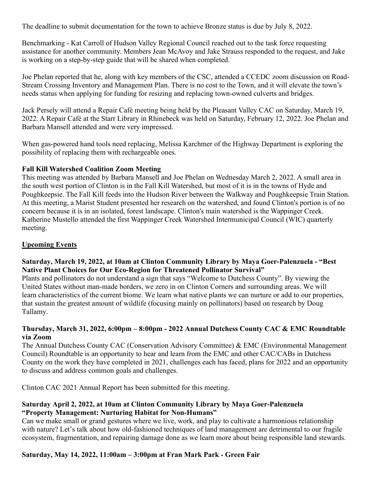The deadline to submit documentation for the town to achieve Bronze status is due by July 8, 2022.

Benchmarking - Kat Carroll of Hudson Valley Regional Council reached out to the task force requesting assistance for another community. Members Jean McAvoy and Jake Strauss responded to the request, and Jake is working on a step-by-step guide that will be shared when completed.

Joe Phelan reported that he, along with key members of the CSC, attended a CCEDC zoom discussion on Road-Stream Crossing Inventory and Management Plan. There is no cost to the Town, and it will elevate the town's needs status when applying for funding for resizing and replacing town-owned culverts and bridges.

Jack Persely will attend a Repair Café meeting being held by the Pleasant Valley CAC on Saturday, March 19, 2022. A Repair Café at the Starr Library in Rhinebeck was held on Saturday, February 12, 2022. Joe Phelan and Barbara Mansell attended and were very impressed.

When gas-powered hand tools need replacing, Melissa Karchmer of the Highway Department is exploring the possibility of replacing them with rechargeable ones.

### Fall Kill Watershed Coalition Zoom Meeting

This meeting was attended by Barbara Mansell and Joe Phelan on Wednesday March 2, 2022. A small area in the south west portion of Clinton is in the Fall Kill Watershed, but most of it is in the towns of Hyde and Poughkeepsie. The Fall Kill feeds into the Hudson River between the Walkway and Poughkeepsie Train Station. At this meeting, a Marist Student presented her research on the watershed, and found Clinton's portion is of no concern because it is in an isolated, forest landscape. Clinton's main watershed is the Wappinger Creek. Katherine Mustello attended the first Wappinger Creek Watershed Intermunicipal Council (WIC) quarterly meeting.

## Upcoming Events

### Saturday, March 19, 2022, at 10am at Clinton Community Library by Maya Goer-Palenzuela - "Best Native Plant Choices for Our Eco-Region for Threatened Pollinator Survival"

Plants and pollinators do not understand a sign that says "Welcome to Dutchess County". By viewing the United States without man-made borders, we zero in on Clinton Corners and surrounding areas. We will learn characteristics of the current biome. We learn what native plants we can nurture or add to our properties, that sustain the greatest amount of wildlife (focusing mainly on pollinators) based on research by Doug Tallamy.

### Thursday, March 31, 2022, 6:00pm – 8:00pm - 2022 Annual Dutchess County CAC & EMC Roundtable via Zoom

The Annual Dutchess County CAC (Conservation Advisory Committee) & EMC (Environmental Management Council) Roundtable is an opportunity to hear and learn from the EMC and other CAC/CABs in Dutchess County on the work they have completed in 2021, challenges each has faced, plans for 2022 and an opportunity to discuss and address common goals and challenges.

Clinton CAC 2021 Annual Report has been submitted for this meeting.

### Saturday April 2, 2022, at 10am at Clinton Community Library by Maya Goer-Palenzuela "Property Management: Nurturing Habitat for Non-Humans"

Can we make small or grand gestures where we live, work, and play to cultivate a harmonious relationship with nature? Let's talk about how old-fashioned techniques of land management are detrimental to our fragile ecosystem, fragmentation, and repairing damage done as we learn more about being responsible land stewards.

## Saturday, May 14, 2022, 11:00am – 3:00pm at Fran Mark Park - Green Fair